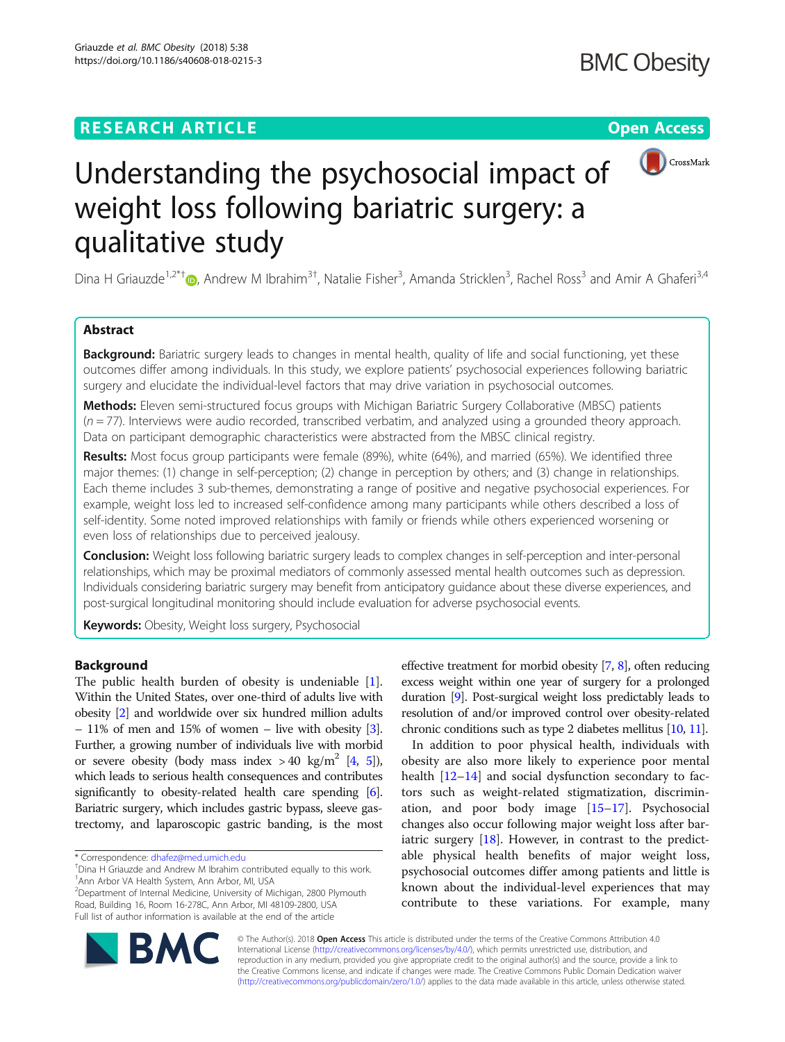## **RESEARCH ARTICLE Example 2014 CONSUMING A RESEARCH ARTICLE**



# Understanding the psychosocial impact of weight loss following bariatric surgery: a qualitative study

Dina H Griauzde<sup>1[,](http://orcid.org/0000-0002-2260-0299)2\*†</sup>®, Andrew M Ibrahim<sup>3†</sup>, Natalie Fisher<sup>3</sup>, Amanda Stricklen<sup>3</sup>, Rachel Ross<sup>3</sup> and Amir A Ghaferi<sup>3,4</sup>

## Abstract

Background: Bariatric surgery leads to changes in mental health, quality of life and social functioning, yet these outcomes differ among individuals. In this study, we explore patients' psychosocial experiences following bariatric surgery and elucidate the individual-level factors that may drive variation in psychosocial outcomes.

Methods: Eleven semi-structured focus groups with Michigan Bariatric Surgery Collaborative (MBSC) patients  $(n = 77)$ . Interviews were audio recorded, transcribed verbatim, and analyzed using a grounded theory approach. Data on participant demographic characteristics were abstracted from the MBSC clinical registry.

Results: Most focus group participants were female (89%), white (64%), and married (65%). We identified three major themes: (1) change in self-perception; (2) change in perception by others; and (3) change in relationships. Each theme includes 3 sub-themes, demonstrating a range of positive and negative psychosocial experiences. For example, weight loss led to increased self-confidence among many participants while others described a loss of self-identity. Some noted improved relationships with family or friends while others experienced worsening or even loss of relationships due to perceived jealousy.

**Conclusion:** Weight loss following bariatric surgery leads to complex changes in self-perception and inter-personal relationships, which may be proximal mediators of commonly assessed mental health outcomes such as depression. Individuals considering bariatric surgery may benefit from anticipatory guidance about these diverse experiences, and post-surgical longitudinal monitoring should include evaluation for adverse psychosocial events.

Keywords: Obesity, Weight loss surgery, Psychosocial

#### Background

The public health burden of obesity is undeniable [\[1](#page-7-0)]. Within the United States, over one-third of adults live with obesity [\[2](#page-7-0)] and worldwide over six hundred million adults  $-11\%$  of men and 15% of women – live with obesity [[3](#page-7-0)]. Further, a growing number of individuals live with morbid or severe obesity (body mass index  $> 40 \text{ kg/m}^2$  $> 40 \text{ kg/m}^2$  $> 40 \text{ kg/m}^2$  [4, [5](#page-7-0)]), which leads to serious health consequences and contributes significantly to obesity-related health care spending [[6](#page-7-0)]. Bariatric surgery, which includes gastric bypass, sleeve gastrectomy, and laparoscopic gastric banding, is the most

<sup>2</sup>Department of Internal Medicine, University of Michigan, 2800 Plymouth Road, Building 16, Room 16-278C, Ann Arbor, MI 48109-2800, USA

Full list of author information is available at the end of the article

effective treatment for morbid obesity [\[7,](#page-7-0) [8\]](#page-7-0), often reducing excess weight within one year of surgery for a prolonged duration [\[9\]](#page-7-0). Post-surgical weight loss predictably leads to resolution of and/or improved control over obesity-related chronic conditions such as type 2 diabetes mellitus [\[10](#page-7-0), [11](#page-7-0)].

In addition to poor physical health, individuals with obesity are also more likely to experience poor mental health [[12](#page-7-0)–[14](#page-7-0)] and social dysfunction secondary to factors such as weight-related stigmatization, discrimination, and poor body image [[15](#page-7-0)–[17](#page-7-0)]. Psychosocial changes also occur following major weight loss after bariatric surgery [[18\]](#page-7-0). However, in contrast to the predictable physical health benefits of major weight loss, psychosocial outcomes differ among patients and little is known about the individual-level experiences that may contribute to these variations. For example, many



© The Author(s). 2018 Open Access This article is distributed under the terms of the Creative Commons Attribution 4.0 International License [\(http://creativecommons.org/licenses/by/4.0/](http://creativecommons.org/licenses/by/4.0/)), which permits unrestricted use, distribution, and reproduction in any medium, provided you give appropriate credit to the original author(s) and the source, provide a link to the Creative Commons license, and indicate if changes were made. The Creative Commons Public Domain Dedication waiver [\(http://creativecommons.org/publicdomain/zero/1.0/](http://creativecommons.org/publicdomain/zero/1.0/)) applies to the data made available in this article, unless otherwise stated.

<sup>\*</sup> Correspondence: [dhafez@med.umich.edu](mailto:dhafez@med.umich.edu) †

Dina H Griauzde and Andrew M Ibrahim contributed equally to this work. <sup>1</sup> Ann Arbor VA Health System, Ann Arbor, MI, USA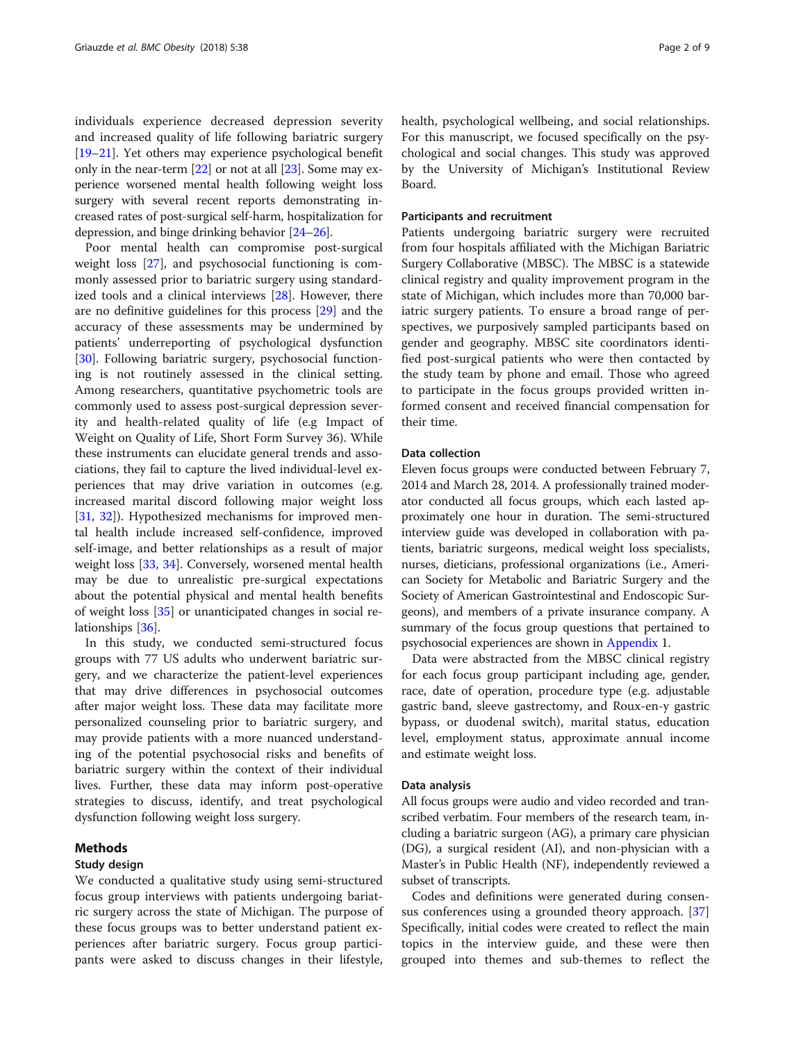individuals experience decreased depression severity and increased quality of life following bariatric surgery [[19](#page-7-0)–[21\]](#page-7-0). Yet others may experience psychological benefit only in the near-term  $[22]$  or not at all  $[23]$ . Some may experience worsened mental health following weight loss surgery with several recent reports demonstrating increased rates of post-surgical self-harm, hospitalization for depression, and binge drinking behavior [\[24](#page-7-0)–[26](#page-7-0)].

Poor mental health can compromise post-surgical weight loss [\[27](#page-7-0)], and psychosocial functioning is commonly assessed prior to bariatric surgery using standardized tools and a clinical interviews [[28\]](#page-7-0). However, there are no definitive guidelines for this process [[29](#page-8-0)] and the accuracy of these assessments may be undermined by patients' underreporting of psychological dysfunction [[30\]](#page-8-0). Following bariatric surgery, psychosocial functioning is not routinely assessed in the clinical setting. Among researchers, quantitative psychometric tools are commonly used to assess post-surgical depression severity and health-related quality of life (e.g Impact of Weight on Quality of Life, Short Form Survey 36). While these instruments can elucidate general trends and associations, they fail to capture the lived individual-level experiences that may drive variation in outcomes (e.g. increased marital discord following major weight loss [[31,](#page-8-0) [32](#page-8-0)]). Hypothesized mechanisms for improved mental health include increased self-confidence, improved self-image, and better relationships as a result of major weight loss [\[33](#page-8-0), [34](#page-8-0)]. Conversely, worsened mental health may be due to unrealistic pre-surgical expectations about the potential physical and mental health benefits of weight loss [\[35](#page-8-0)] or unanticipated changes in social relationships [[36\]](#page-8-0).

In this study, we conducted semi-structured focus groups with 77 US adults who underwent bariatric surgery, and we characterize the patient-level experiences that may drive differences in psychosocial outcomes after major weight loss. These data may facilitate more personalized counseling prior to bariatric surgery, and may provide patients with a more nuanced understanding of the potential psychosocial risks and benefits of bariatric surgery within the context of their individual lives. Further, these data may inform post-operative strategies to discuss, identify, and treat psychological dysfunction following weight loss surgery.

#### Methods

#### Study design

We conducted a qualitative study using semi-structured focus group interviews with patients undergoing bariatric surgery across the state of Michigan. The purpose of these focus groups was to better understand patient experiences after bariatric surgery. Focus group participants were asked to discuss changes in their lifestyle, health, psychological wellbeing, and social relationships. For this manuscript, we focused specifically on the psychological and social changes. This study was approved by the University of Michigan's Institutional Review Board.

#### Participants and recruitment

Patients undergoing bariatric surgery were recruited from four hospitals affiliated with the Michigan Bariatric Surgery Collaborative (MBSC). The MBSC is a statewide clinical registry and quality improvement program in the state of Michigan, which includes more than 70,000 bariatric surgery patients. To ensure a broad range of perspectives, we purposively sampled participants based on gender and geography. MBSC site coordinators identified post-surgical patients who were then contacted by the study team by phone and email. Those who agreed to participate in the focus groups provided written informed consent and received financial compensation for their time.

#### Data collection

Eleven focus groups were conducted between February 7, 2014 and March 28, 2014. A professionally trained moderator conducted all focus groups, which each lasted approximately one hour in duration. The semi-structured interview guide was developed in collaboration with patients, bariatric surgeons, medical weight loss specialists, nurses, dieticians, professional organizations (i.e., American Society for Metabolic and Bariatric Surgery and the Society of American Gastrointestinal and Endoscopic Surgeons), and members of a private insurance company. A summary of the focus group questions that pertained to psychosocial experiences are shown in Appendix 1.

Data were abstracted from the MBSC clinical registry for each focus group participant including age, gender, race, date of operation, procedure type (e.g. adjustable gastric band, sleeve gastrectomy, and Roux-en-y gastric bypass, or duodenal switch), marital status, education level, employment status, approximate annual income and estimate weight loss.

#### Data analysis

All focus groups were audio and video recorded and transcribed verbatim. Four members of the research team, including a bariatric surgeon (AG), a primary care physician (DG), a surgical resident (AI), and non-physician with a Master's in Public Health (NF), independently reviewed a subset of transcripts.

Codes and definitions were generated during consensus conferences using a grounded theory approach. [[37](#page-8-0)] Specifically, initial codes were created to reflect the main topics in the interview guide, and these were then grouped into themes and sub-themes to reflect the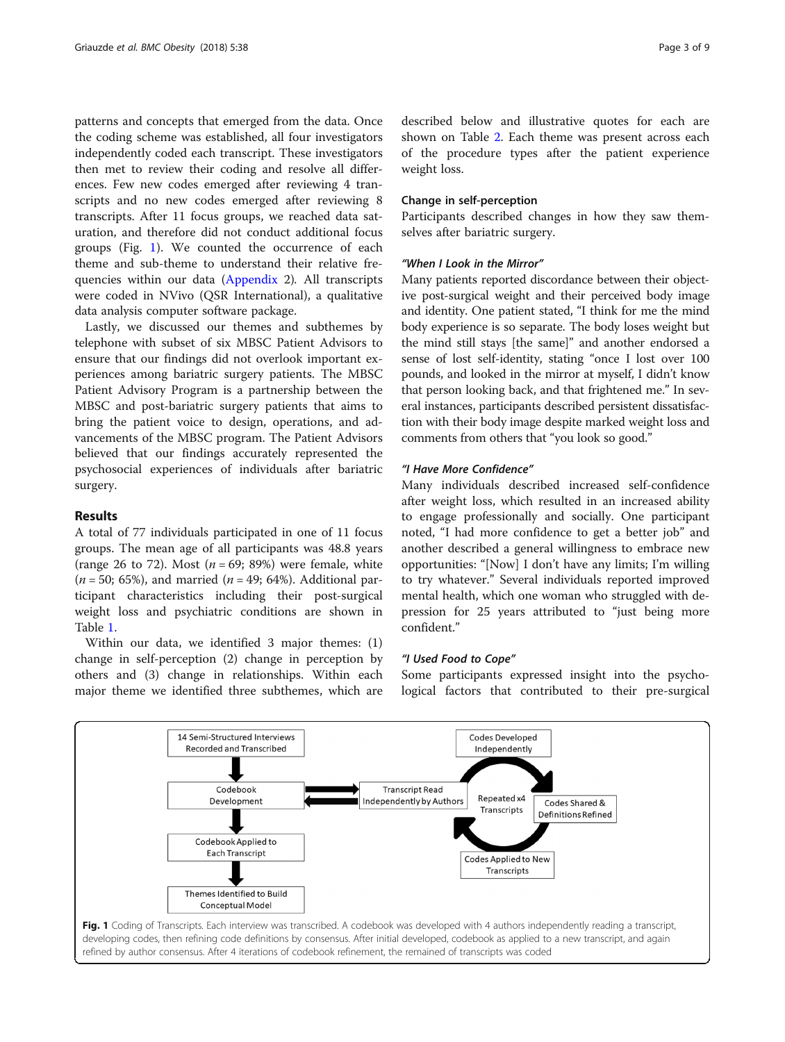patterns and concepts that emerged from the data. Once the coding scheme was established, all four investigators independently coded each transcript. These investigators then met to review their coding and resolve all differences. Few new codes emerged after reviewing 4 transcripts and no new codes emerged after reviewing 8 transcripts. After 11 focus groups, we reached data saturation, and therefore did not conduct additional focus groups (Fig. 1). We counted the occurrence of each theme and sub-theme to understand their relative frequencies within our data (Appendix 2). All transcripts were coded in NVivo (QSR International), a qualitative data analysis computer software package.

Lastly, we discussed our themes and subthemes by telephone with subset of six MBSC Patient Advisors to ensure that our findings did not overlook important experiences among bariatric surgery patients. The MBSC Patient Advisory Program is a partnership between the MBSC and post-bariatric surgery patients that aims to bring the patient voice to design, operations, and advancements of the MBSC program. The Patient Advisors believed that our findings accurately represented the psychosocial experiences of individuals after bariatric surgery.

#### Results

A total of 77 individuals participated in one of 11 focus groups. The mean age of all participants was 48.8 years (range 26 to 72). Most  $(n = 69; 89%)$  were female, white  $(n = 50; 65%)$ , and married  $(n = 49; 64%)$ . Additional participant characteristics including their post-surgical weight loss and psychiatric conditions are shown in Table [1.](#page-3-0)

Within our data, we identified 3 major themes: (1) change in self-perception (2) change in perception by others and (3) change in relationships. Within each major theme we identified three subthemes, which are

described below and illustrative quotes for each are shown on Table [2.](#page-4-0) Each theme was present across each of the procedure types after the patient experience weight loss.

#### Change in self-perception

Participants described changes in how they saw themselves after bariatric surgery.

#### "When I Look in the Mirror"

Many patients reported discordance between their objective post-surgical weight and their perceived body image and identity. One patient stated, "I think for me the mind body experience is so separate. The body loses weight but the mind still stays [the same]" and another endorsed a sense of lost self-identity, stating "once I lost over 100 pounds, and looked in the mirror at myself, I didn't know that person looking back, and that frightened me." In several instances, participants described persistent dissatisfaction with their body image despite marked weight loss and comments from others that "you look so good."

#### "I Have More Confidence"

Many individuals described increased self-confidence after weight loss, which resulted in an increased ability to engage professionally and socially. One participant noted, "I had more confidence to get a better job" and another described a general willingness to embrace new opportunities: "[Now] I don't have any limits; I'm willing to try whatever." Several individuals reported improved mental health, which one woman who struggled with depression for 25 years attributed to "just being more confident."

#### "I Used Food to Cope"

Some participants expressed insight into the psychological factors that contributed to their pre-surgical

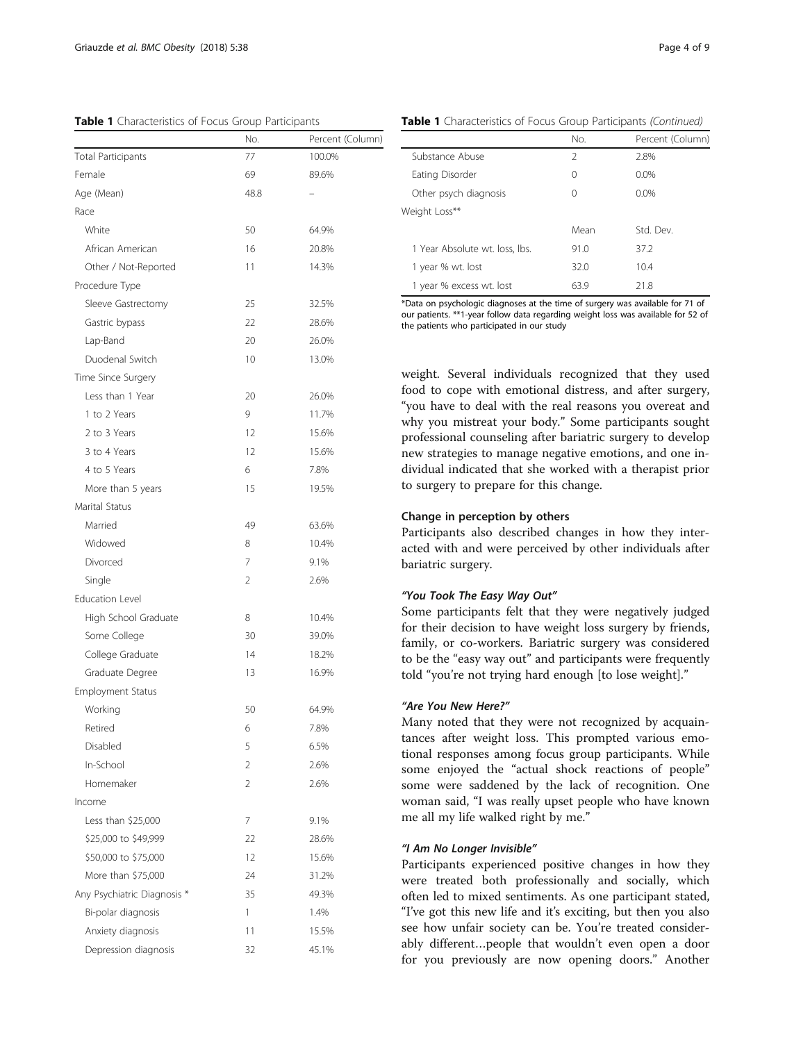<span id="page-3-0"></span>Table 1 Characteristics of Focus Group Participants

|                             | No.  | Percent (Column) |  |
|-----------------------------|------|------------------|--|
| <b>Total Participants</b>   | 77   | 100.0%           |  |
| Female                      | 69   | 89.6%            |  |
| Age (Mean)                  | 48.8 |                  |  |
| Race                        |      |                  |  |
| White                       | 50   | 64.9%            |  |
| African American            | 16   | 20.8%            |  |
| Other / Not-Reported        | 11   | 14.3%            |  |
| Procedure Type              |      |                  |  |
| Sleeve Gastrectomy          | 25   | 32.5%            |  |
| Gastric bypass              | 22   | 28.6%            |  |
| Lap-Band                    | 20   | 26.0%            |  |
| Duodenal Switch             | 10   | 13.0%            |  |
| Time Since Surgery          |      |                  |  |
| Less than 1 Year            | 20   | 26.0%            |  |
| 1 to 2 Years                | 9    | 11.7%            |  |
| 2 to 3 Years                | 12   | 15.6%            |  |
| 3 to 4 Years                | 12   | 15.6%            |  |
| 4 to 5 Years                | 6    | 7.8%             |  |
| More than 5 years           | 15   | 19.5%            |  |
| Marital Status              |      |                  |  |
| Married                     | 49   | 63.6%            |  |
| Widowed                     | 8    | 10.4%            |  |
| Divorced                    | 7    | 9.1%             |  |
| Single                      | 2    | 2.6%             |  |
| <b>Education Level</b>      |      |                  |  |
| High School Graduate        | 8    | 10.4%            |  |
| Some College                | 30   | 39.0%            |  |
| College Graduate            | 14   | 18.2%            |  |
| Graduate Degree             | 13   | 16.9%            |  |
| Employment Status           |      |                  |  |
| Working                     | 50   | 64.9%            |  |
| Retired                     | 6    | 7.8%             |  |
| Disabled                    | 5    | 6.5%             |  |
| In-School                   | 2    | 2.6%             |  |
| Homemaker                   | 2    | 2.6%             |  |
| Income                      |      |                  |  |
| Less than \$25,000          | 7    | 9.1%             |  |
| \$25,000 to \$49,999        | 22   | 28.6%            |  |
| \$50,000 to \$75,000        | 12   | 15.6%            |  |
| More than \$75,000          | 24   | 31.2%            |  |
| Any Psychiatric Diagnosis * | 35   | 49.3%            |  |
| Bi-polar diagnosis          | 1    | 1.4%             |  |
| Anxiety diagnosis           | 11   | 15.5%            |  |
| Depression diagnosis        | 32   | 45.1%            |  |

|                                | No.            | Percent (Column) |
|--------------------------------|----------------|------------------|
| Substance Abuse                | $\mathfrak{D}$ | 2.8%             |
| Eating Disorder                | 0              | $0.0\%$          |
| Other psych diagnosis          | 0              | $0.0\%$          |
| Weight Loss**                  |                |                  |
|                                | Mean           | Std. Dev.        |
| 1 Year Absolute wt. loss, lbs. | 91.0           | 37.2             |
| 1 year % wt. lost              | 32.0           | 10.4             |
| 1 year % excess wt. lost       | 63.9           | 21.8             |
|                                |                |                  |

\*Data on psychologic diagnoses at the time of surgery was available for 71 of our patients. \*\*1-year follow data regarding weight loss was available for 52 of the patients who participated in our study

weight. Several individuals recognized that they used food to cope with emotional distress, and after surgery, "you have to deal with the real reasons you overeat and why you mistreat your body." Some participants sought professional counseling after bariatric surgery to develop new strategies to manage negative emotions, and one individual indicated that she worked with a therapist prior to surgery to prepare for this change.

#### Change in perception by others

Participants also described changes in how they interacted with and were perceived by other individuals after bariatric surgery.

#### "You Took The Easy Way Out"

Some participants felt that they were negatively judged for their decision to have weight loss surgery by friends, family, or co-workers. Bariatric surgery was considered to be the "easy way out" and participants were frequently told "you're not trying hard enough [to lose weight]."

#### "Are You New Here?"

Many noted that they were not recognized by acquaintances after weight loss. This prompted various emotional responses among focus group participants. While some enjoyed the "actual shock reactions of people" some were saddened by the lack of recognition. One woman said, "I was really upset people who have known me all my life walked right by me."

#### "I Am No Longer Invisible"

Participants experienced positive changes in how they were treated both professionally and socially, which often led to mixed sentiments. As one participant stated, "I've got this new life and it's exciting, but then you also see how unfair society can be. You're treated considerably different…people that wouldn't even open a door for you previously are now opening doors." Another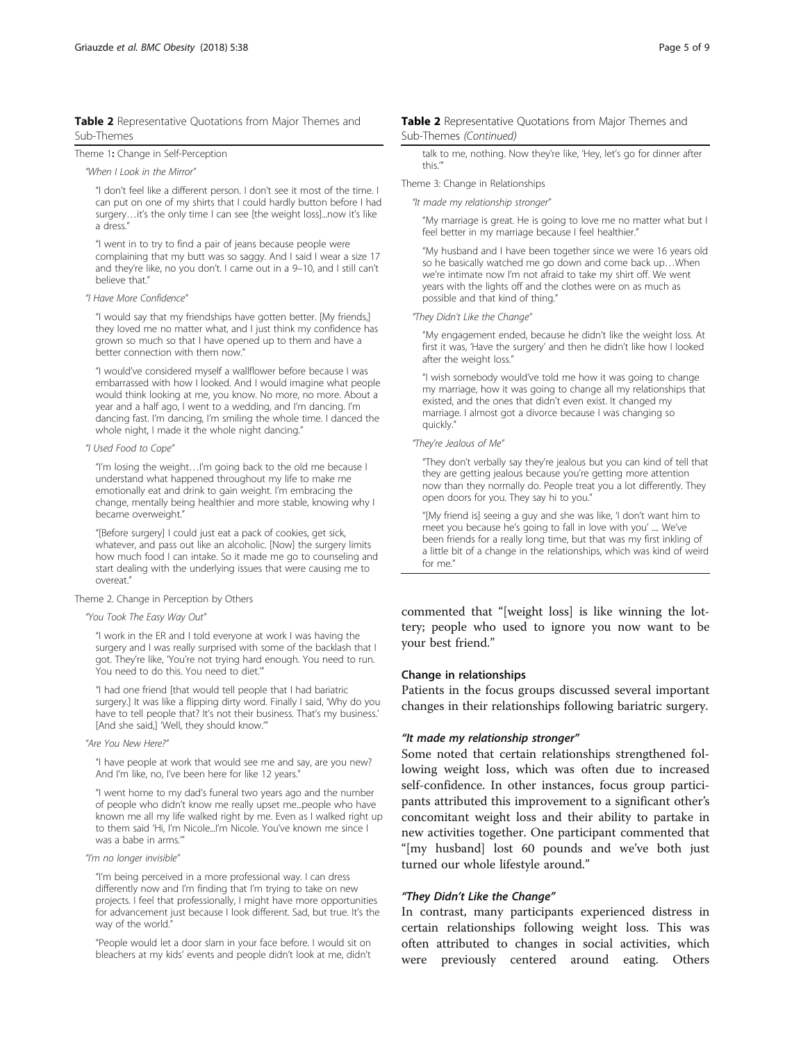#### <span id="page-4-0"></span>Table 2 Representative Quotations from Major Themes and Sub-Themes

Theme 1: Change in Self-Perception

#### "When I Look in the Mirror"

"I don't feel like a different person. I don't see it most of the time. I can put on one of my shirts that I could hardly button before I had surgery...it's the only time I can see [the weight loss]...now it's like a dress."

"I went in to try to find a pair of jeans because people were complaining that my butt was so saggy. And I said I wear a size 17 and they're like, no you don't. I came out in a 9–10, and I still can't believe that."

#### "I Have More Confidence"

"I would say that my friendships have gotten better. [My friends,] they loved me no matter what, and I just think my confidence has grown so much so that I have opened up to them and have a better connection with them now."

"I would've considered myself a wallflower before because I was embarrassed with how I looked. And I would imagine what people would think looking at me, you know. No more, no more. About a year and a half ago, I went to a wedding, and I'm dancing. I'm dancing fast. I'm dancing, I'm smiling the whole time. I danced the whole night, I made it the whole night dancing."

#### "I Used Food to Cope"

"I'm losing the weight…I'm going back to the old me because I understand what happened throughout my life to make me emotionally eat and drink to gain weight. I'm embracing the change, mentally being healthier and more stable, knowing why I became overweight."

"[Before surgery] I could just eat a pack of cookies, get sick, whatever, and pass out like an alcoholic. [Now] the surgery limits how much food I can intake. So it made me go to counseling and start dealing with the underlying issues that were causing me to overeat."

#### Theme 2. Change in Perception by Others

#### "You Took The Easy Way Out"

"I work in the ER and I told everyone at work I was having the surgery and I was really surprised with some of the backlash that I got. They're like, 'You're not trying hard enough. You need to run. You need to do this. You need to diet.'"

"I had one friend [that would tell people that I had bariatric surgery.] It was like a flipping dirty word. Finally I said, 'Why do you have to tell people that? It's not their business. That's my business.' [And she said,] 'Well, they should know.'"

#### "Are You New Here?"

"I have people at work that would see me and say, are you new? And I'm like, no, I've been here for like 12 years."

"I went home to my dad's funeral two years ago and the number of people who didn't know me really upset me...people who have known me all my life walked right by me. Even as I walked right up to them said 'Hi, I'm Nicole...I'm Nicole. You've known me since I was a babe in arms.'"

#### "I'm no longer invisible"

"I'm being perceived in a more professional way. I can dress differently now and I'm finding that I'm trying to take on new projects. I feel that professionally, I might have more opportunities for advancement just because I look different. Sad, but true. It's the way of the world."

"People would let a door slam in your face before. I would sit on bleachers at my kids' events and people didn't look at me, didn't

#### Table 2 Representative Quotations from Major Themes and Sub-Themes (Continued)

talk to me, nothing. Now they're like, 'Hey, let's go for dinner after this.

Theme 3: Change in Relationships

"It made my relationship stronger"

"My marriage is great. He is going to love me no matter what but I feel better in my marriage because I feel healthier."

"My husband and I have been together since we were 16 years old so he basically watched me go down and come back up…When we're intimate now I'm not afraid to take my shirt off. We went years with the lights off and the clothes were on as much as possible and that kind of thing."

"They Didn't Like the Change"

"My engagement ended, because he didn't like the weight loss. At first it was, 'Have the surgery' and then he didn't like how I looked after the weight loss."

"I wish somebody would've told me how it was going to change my marriage, how it was going to change all my relationships that existed, and the ones that didn't even exist. It changed my marriage. I almost got a divorce because I was changing so quickly.'

#### "They're Jealous of Me"

"They don't verbally say they're jealous but you can kind of tell that they are getting jealous because you're getting more attention now than they normally do. People treat you a lot differently. They open doors for you. They say hi to you."

"[My friend is] seeing a guy and she was like, 'I don't want him to meet you because he's going to fall in love with you' .... We've been friends for a really long time, but that was my first inkling of a little bit of a change in the relationships, which was kind of weird for me."

commented that "[weight loss] is like winning the lottery; people who used to ignore you now want to be your best friend."

#### Change in relationships

Patients in the focus groups discussed several important changes in their relationships following bariatric surgery.

#### "It made my relationship stronger"

Some noted that certain relationships strengthened following weight loss, which was often due to increased self-confidence. In other instances, focus group participants attributed this improvement to a significant other's concomitant weight loss and their ability to partake in new activities together. One participant commented that "[my husband] lost 60 pounds and we've both just turned our whole lifestyle around."

#### "They Didn't Like the Change"

In contrast, many participants experienced distress in certain relationships following weight loss. This was often attributed to changes in social activities, which were previously centered around eating. Others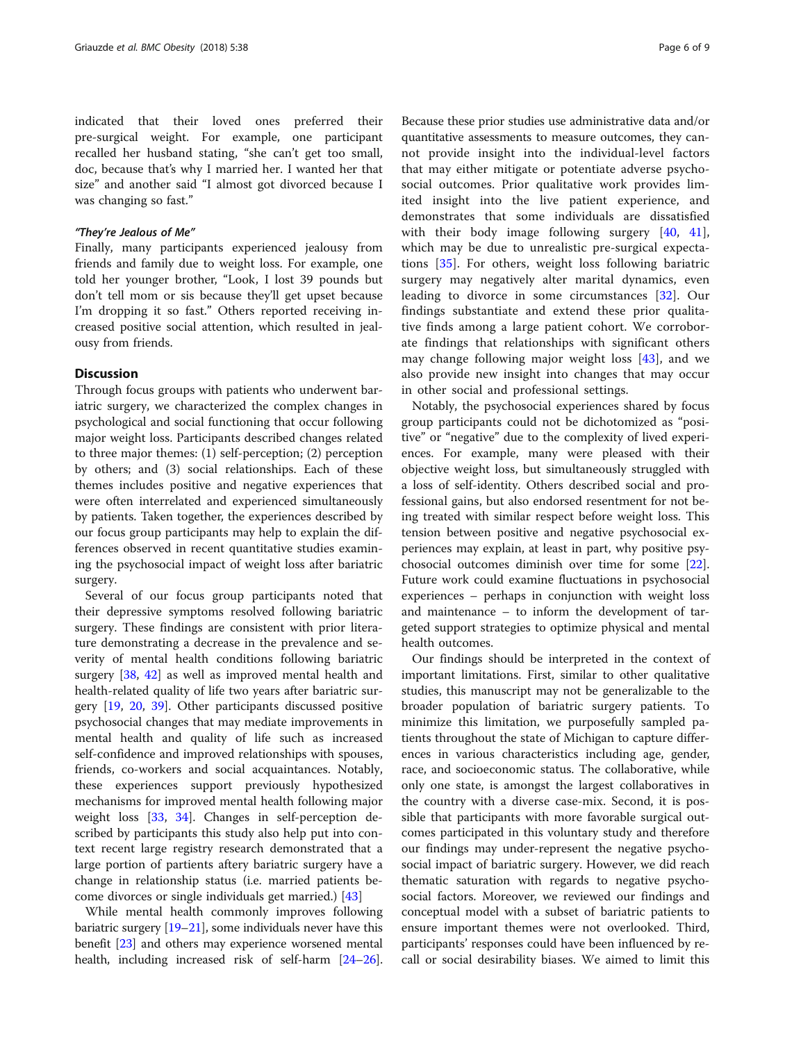indicated that their loved ones preferred their pre-surgical weight. For example, one participant recalled her husband stating, "she can't get too small, doc, because that's why I married her. I wanted her that size" and another said "I almost got divorced because I was changing so fast."

#### "They're Jealous of Me"

Finally, many participants experienced jealousy from friends and family due to weight loss. For example, one told her younger brother, "Look, I lost 39 pounds but don't tell mom or sis because they'll get upset because I'm dropping it so fast." Others reported receiving increased positive social attention, which resulted in jealousy from friends.

#### **Discussion**

Through focus groups with patients who underwent bariatric surgery, we characterized the complex changes in psychological and social functioning that occur following major weight loss. Participants described changes related to three major themes: (1) self-perception; (2) perception by others; and (3) social relationships. Each of these themes includes positive and negative experiences that were often interrelated and experienced simultaneously by patients. Taken together, the experiences described by our focus group participants may help to explain the differences observed in recent quantitative studies examining the psychosocial impact of weight loss after bariatric surgery.

Several of our focus group participants noted that their depressive symptoms resolved following bariatric surgery. These findings are consistent with prior literature demonstrating a decrease in the prevalence and severity of mental health conditions following bariatric surgery [[38,](#page-8-0) [42\]](#page-8-0) as well as improved mental health and health-related quality of life two years after bariatric surgery [[19,](#page-7-0) [20](#page-7-0), [39\]](#page-8-0). Other participants discussed positive psychosocial changes that may mediate improvements in mental health and quality of life such as increased self-confidence and improved relationships with spouses, friends, co-workers and social acquaintances. Notably, these experiences support previously hypothesized mechanisms for improved mental health following major weight loss [[33,](#page-8-0) [34](#page-8-0)]. Changes in self-perception described by participants this study also help put into context recent large registry research demonstrated that a large portion of partients aftery bariatric surgery have a change in relationship status (i.e. married patients become divorces or single individuals get married.) [\[43\]](#page-8-0)

While mental health commonly improves following bariatric surgery [[19](#page-7-0)–[21\]](#page-7-0), some individuals never have this benefit [[23](#page-7-0)] and others may experience worsened mental health, including increased risk of self-harm [\[24](#page-7-0)–[26](#page-7-0)].

Because these prior studies use administrative data and/or quantitative assessments to measure outcomes, they cannot provide insight into the individual-level factors that may either mitigate or potentiate adverse psychosocial outcomes. Prior qualitative work provides limited insight into the live patient experience, and demonstrates that some individuals are dissatisfied with their body image following surgery [[40,](#page-8-0) [41](#page-8-0)], which may be due to unrealistic pre-surgical expectations [[35\]](#page-8-0). For others, weight loss following bariatric surgery may negatively alter marital dynamics, even leading to divorce in some circumstances [\[32](#page-8-0)]. Our findings substantiate and extend these prior qualitative finds among a large patient cohort. We corroborate findings that relationships with significant others may change following major weight loss [\[43](#page-8-0)], and we also provide new insight into changes that may occur in other social and professional settings.

Notably, the psychosocial experiences shared by focus group participants could not be dichotomized as "positive" or "negative" due to the complexity of lived experiences. For example, many were pleased with their objective weight loss, but simultaneously struggled with a loss of self-identity. Others described social and professional gains, but also endorsed resentment for not being treated with similar respect before weight loss. This tension between positive and negative psychosocial experiences may explain, at least in part, why positive psychosocial outcomes diminish over time for some [\[22](#page-7-0)]. Future work could examine fluctuations in psychosocial experiences – perhaps in conjunction with weight loss and maintenance – to inform the development of targeted support strategies to optimize physical and mental health outcomes.

Our findings should be interpreted in the context of important limitations. First, similar to other qualitative studies, this manuscript may not be generalizable to the broader population of bariatric surgery patients. To minimize this limitation, we purposefully sampled patients throughout the state of Michigan to capture differences in various characteristics including age, gender, race, and socioeconomic status. The collaborative, while only one state, is amongst the largest collaboratives in the country with a diverse case-mix. Second, it is possible that participants with more favorable surgical outcomes participated in this voluntary study and therefore our findings may under-represent the negative psychosocial impact of bariatric surgery. However, we did reach thematic saturation with regards to negative psychosocial factors. Moreover, we reviewed our findings and conceptual model with a subset of bariatric patients to ensure important themes were not overlooked. Third, participants' responses could have been influenced by recall or social desirability biases. We aimed to limit this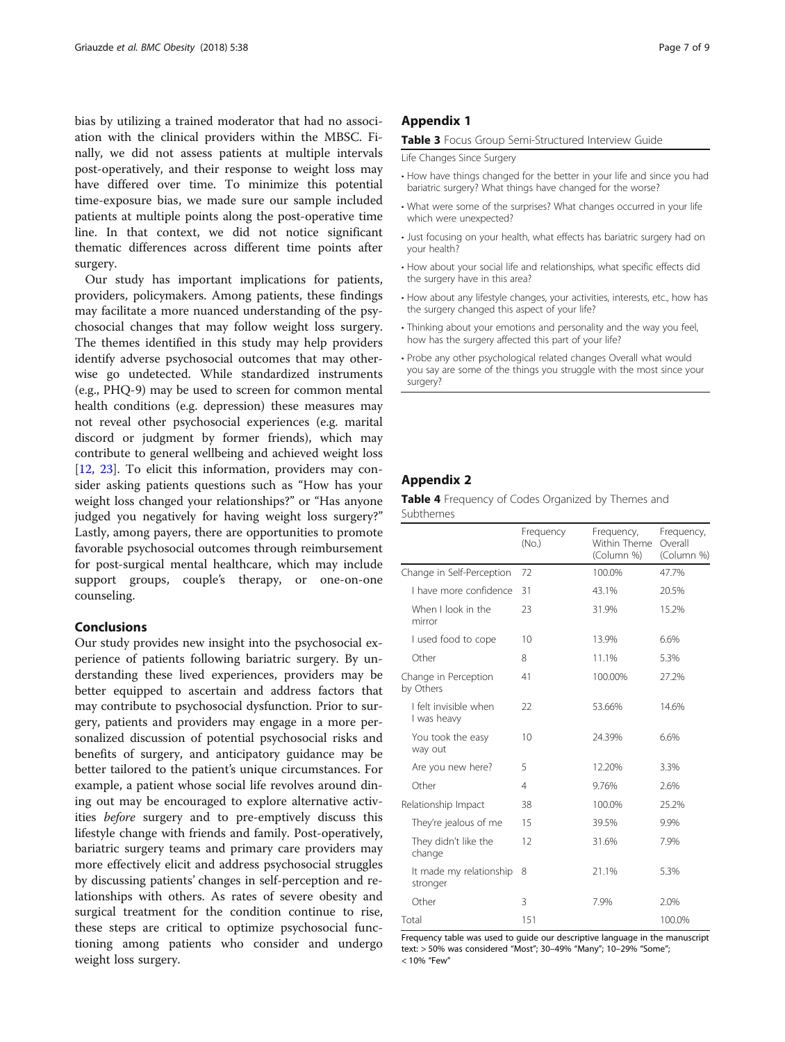bias by utilizing a trained moderator that had no association with the clinical providers within the MBSC. Finally, we did not assess patients at multiple intervals post-operatively, and their response to weight loss may have differed over time. To minimize this potential time-exposure bias, we made sure our sample included patients at multiple points along the post-operative time line. In that context, we did not notice significant thematic differences across different time points after surgery.

Our study has important implications for patients, providers, policymakers. Among patients, these findings may facilitate a more nuanced understanding of the psychosocial changes that may follow weight loss surgery. The themes identified in this study may help providers identify adverse psychosocial outcomes that may otherwise go undetected. While standardized instruments (e.g., PHQ-9) may be used to screen for common mental health conditions (e.g. depression) these measures may not reveal other psychosocial experiences (e.g. marital discord or judgment by former friends), which may contribute to general wellbeing and achieved weight loss [[12,](#page-7-0) [23\]](#page-7-0). To elicit this information, providers may consider asking patients questions such as "How has your weight loss changed your relationships?" or "Has anyone judged you negatively for having weight loss surgery?" Lastly, among payers, there are opportunities to promote favorable psychosocial outcomes through reimbursement for post-surgical mental healthcare, which may include support groups, couple's therapy, or one-on-one counseling.

#### Conclusions

Our study provides new insight into the psychosocial experience of patients following bariatric surgery. By understanding these lived experiences, providers may be better equipped to ascertain and address factors that may contribute to psychosocial dysfunction. Prior to surgery, patients and providers may engage in a more personalized discussion of potential psychosocial risks and benefits of surgery, and anticipatory guidance may be better tailored to the patient's unique circumstances. For example, a patient whose social life revolves around dining out may be encouraged to explore alternative activities before surgery and to pre-emptively discuss this lifestyle change with friends and family. Post-operatively, bariatric surgery teams and primary care providers may more effectively elicit and address psychosocial struggles by discussing patients' changes in self-perception and relationships with others. As rates of severe obesity and surgical treatment for the condition continue to rise, these steps are critical to optimize psychosocial functioning among patients who consider and undergo weight loss surgery.

#### Appendix 1

#### Table 3 Focus Group Semi-Structured Interview Guide

Life Changes Since Surgery

- How have things changed for the better in your life and since you had bariatric surgery? What things have changed for the worse?
- What were some of the surprises? What changes occurred in your life which were unexpected?
- Just focusing on your health, what effects has bariatric surgery had on your health?
- How about your social life and relationships, what specific effects did the surgery have in this area?
- How about any lifestyle changes, your activities, interests, etc., how has the surgery changed this aspect of your life?
- Thinking about your emotions and personality and the way you feel, how has the surgery affected this part of your life?
- Probe any other psychological related changes Overall what would you say are some of the things you struggle with the most since your surgery?

#### Appendix 2

Table 4 Frequency of Codes Organized by Themes and Subthemes

|                                      | Frequency<br>(N <sub>O</sub> ) | Frequency,<br>Within Theme<br>(Column %) | Frequency,<br>Overall<br>(Column %) |
|--------------------------------------|--------------------------------|------------------------------------------|-------------------------------------|
| Change in Self-Perception            | 72                             | 100.0%                                   | 47.7%                               |
| I have more confidence               | 31                             | 43.1%                                    | 20.5%                               |
| When I look in the<br>mirror         | 23                             | 31.9%                                    | 15.2%                               |
| I used food to cope                  | 10                             | 13.9%                                    | 6.6%                                |
| Other                                | 8                              | 11.1%                                    | 5.3%                                |
| Change in Perception<br>by Others    | 41                             | 100.00%                                  | 27.2%                               |
| I felt invisible when<br>I was heavy | 22                             | 53.66%                                   | 14.6%                               |
| You took the easy<br>way out         | 10                             | 24.39%                                   | 6.6%                                |
| Are you new here?                    | 5                              | 12.20%                                   | 3.3%                                |
| Other                                | $\overline{4}$                 | 9.76%                                    | 2.6%                                |
| Relationship Impact                  | 38                             | 100.0%                                   | 25.2%                               |
| They're jealous of me                | 15                             | 39.5%                                    | 9.9%                                |
| They didn't like the<br>change       | 12                             | 31.6%                                    | 7.9%                                |
| It made my relationship<br>stronger  | 8                              | 21.1%                                    | 5.3%                                |
| Other                                | 3                              | 7.9%                                     | 2.0%                                |
| Total                                | 151                            |                                          | 100.0%                              |

Frequency table was used to guide our descriptive language in the manuscript text: > 50% was considered "Most"; 30–49% "Many"; 10–29% "Some"; < 10% "Few"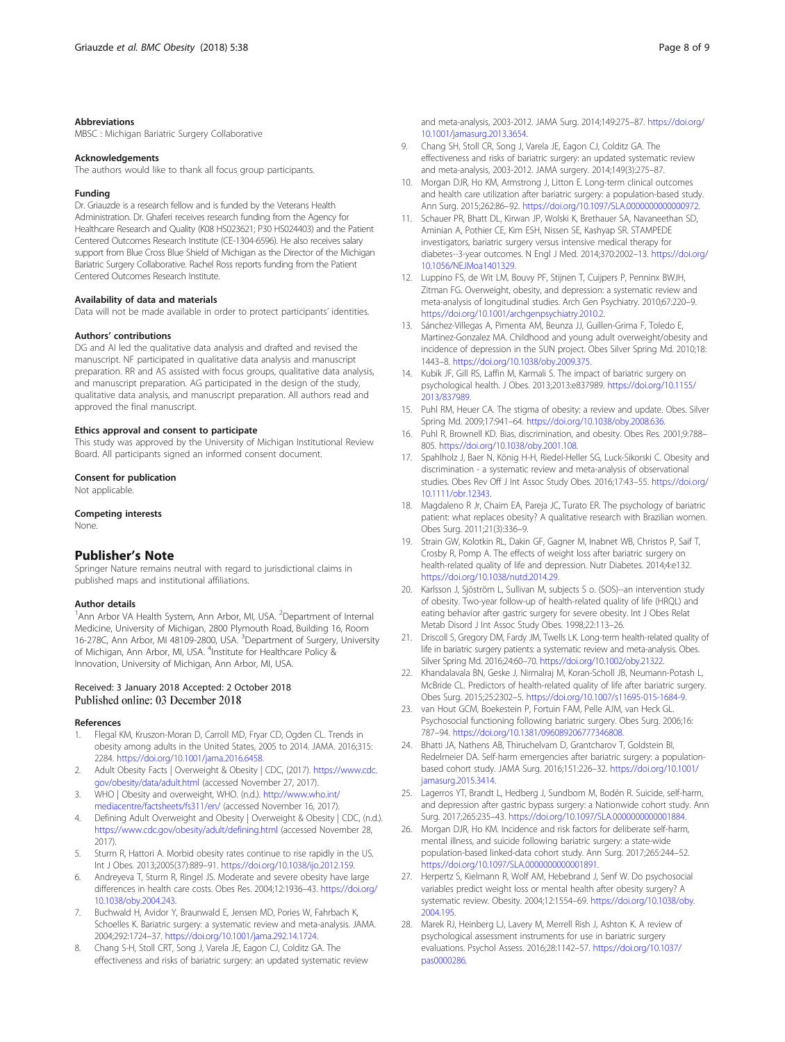#### <span id="page-7-0"></span>Abbreviations

MBSC : Michigan Bariatric Surgery Collaborative

#### Acknowledgements

The authors would like to thank all focus group participants.

#### Funding

Dr. Griauzde is a research fellow and is funded by the Veterans Health Administration. Dr. Ghaferi receives research funding from the Agency for Healthcare Research and Quality (K08 HS023621; P30 HS024403) and the Patient Centered Outcomes Research Institute (CE-1304-6596). He also receives salary support from Blue Cross Blue Shield of Michigan as the Director of the Michigan Bariatric Surgery Collaborative. Rachel Ross reports funding from the Patient Centered Outcomes Research Institute.

#### Availability of data and materials

Data will not be made available in order to protect participants' identities.

#### Authors' contributions

DG and AI led the qualitative data analysis and drafted and revised the manuscript. NF participated in qualitative data analysis and manuscript preparation. RR and AS assisted with focus groups, qualitative data analysis, and manuscript preparation. AG participated in the design of the study, qualitative data analysis, and manuscript preparation. All authors read and approved the final manuscript.

#### Ethics approval and consent to participate

This study was approved by the University of Michigan Institutional Review Board. All participants signed an informed consent document.

#### Consent for publication

Not applicable.

### Competing interests

None.

#### Publisher's Note

Springer Nature remains neutral with regard to jurisdictional claims in published maps and institutional affiliations.

#### Author details

<sup>1</sup> Ann Arbor VA Health System, Ann Arbor, MI, USA. <sup>2</sup> Department of Internal Medicine, University of Michigan, 2800 Plymouth Road, Building 16, Room 16-278C, Ann Arbor, MI 48109-2800, USA. <sup>3</sup>Department of Surgery, University of Michigan, Ann Arbor, MI, USA. <sup>4</sup>Institute for Healthcare Policy & Innovation, University of Michigan, Ann Arbor, MI, USA.

# Received: 3 January 2018 Accepted: 2 October 2018<br>Published online: 03 December 2018

#### References

- 1. Flegal KM, Kruszon-Moran D, Carroll MD, Fryar CD, Ogden CL. Trends in obesity among adults in the United States, 2005 to 2014. JAMA. 2016;315: 2284. <https://doi.org/10.1001/jama.2016.6458>.
- 2. Adult Obesity Facts | Overweight & Obesity | CDC, (2017). [https://www.cdc.](https://www.cdc.gov/obesity/data/adult.html) [gov/obesity/data/adult.html](https://www.cdc.gov/obesity/data/adult.html) (accessed November 27, 2017).
- 3. WHO | Obesity and overweight, WHO. (n.d.). [http://www.who.int/](http://www.who.int/mediacentre/factsheets/fs311/en/) [mediacentre/factsheets/fs311/en/](http://www.who.int/mediacentre/factsheets/fs311/en/) (accessed November 16, 2017).
- 4. Defining Adult Overweight and Obesity | Overweight & Obesity | CDC, (n.d.). <https://www.cdc.gov/obesity/adult/defining.html> (accessed November 28, 2017).
- 5. Sturm R, Hattori A. Morbid obesity rates continue to rise rapidly in the US. Int J Obes. 2013;2005(37):889–91. <https://doi.org/10.1038/ijo.2012.159>.
- 6. Andreyeva T, Sturm R, Ringel JS. Moderate and severe obesity have large differences in health care costs. Obes Res. 2004;12:1936–43. [https://doi.org/](https://doi.org/10.1038/oby.2004.243) [10.1038/oby.2004.243.](https://doi.org/10.1038/oby.2004.243)
- Buchwald H, Avidor Y, Braunwald E, Jensen MD, Pories W, Fahrbach K, Schoelles K. Bariatric surgery: a systematic review and meta-analysis. JAMA. 2004;292:1724–37. <https://doi.org/10.1001/jama.292.14.1724>.
- 8. Chang S-H, Stoll CRT, Song J, Varela JE, Eagon CJ, Colditz GA. The effectiveness and risks of bariatric surgery: an updated systematic review

9. Chang SH, Stoll CR, Song J, Varela JE, Eagon CJ, Colditz GA. The effectiveness and risks of bariatric surgery: an updated systematic review and meta-analysis, 2003-2012. JAMA surgery. 2014;149(3):275–87.

[10.1001/jamasurg.2013.3654](https://doi.org/10.1001/jamasurg.2013.3654).

- 10. Morgan DJR, Ho KM, Armstrong J, Litton E. Long-term clinical outcomes and health care utilization after bariatric surgery: a population-based study. Ann Surg. 2015;262:86–92. <https://doi.org/10.1097/SLA.0000000000000972>.
- 11. Schauer PR, Bhatt DL, Kirwan JP, Wolski K, Brethauer SA, Navaneethan SD, Aminian A, Pothier CE, Kim ESH, Nissen SE, Kashyap SR. STAMPEDE investigators, bariatric surgery versus intensive medical therapy for diabetes--3-year outcomes. N Engl J Med. 2014;370:2002–13. [https://doi.org/](https://doi.org/10.1056/NEJMoa1401329) [10.1056/NEJMoa1401329](https://doi.org/10.1056/NEJMoa1401329).
- 12. Luppino FS, de Wit LM, Bouvy PF, Stijnen T, Cuijpers P, Penninx BWJH, Zitman FG. Overweight, obesity, and depression: a systematic review and meta-analysis of longitudinal studies. Arch Gen Psychiatry. 2010;67:220–9. <https://doi.org/10.1001/archgenpsychiatry.2010.2>.
- 13. Sánchez-Villegas A, Pimenta AM, Beunza JJ, Guillen-Grima F, Toledo E, Martinez-Gonzalez MA. Childhood and young adult overweight/obesity and incidence of depression in the SUN project. Obes Silver Spring Md. 2010;18: 1443–8. [https://doi.org/10.1038/oby.2009.375.](https://doi.org/10.1038/oby.2009.375)
- 14. Kubik JF, Gill RS, Laffin M, Karmali S. The impact of bariatric surgery on psychological health. J Obes. 2013;2013:e837989. [https://doi.org/10.1155/](https://doi.org/10.1155/2013/837989) [2013/837989](https://doi.org/10.1155/2013/837989).
- 15. Puhl RM, Heuer CA. The stigma of obesity: a review and update. Obes. Silver Spring Md. 2009;17:941–64. [https://doi.org/10.1038/oby.2008.636.](https://doi.org/10.1038/oby.2008.636)
- 16. Puhl R, Brownell KD. Bias, discrimination, and obesity. Obes Res. 2001;9:788– 805. <https://doi.org/10.1038/oby.2001.108>.
- 17. Spahlholz J, Baer N, König H-H, Riedel-Heller SG, Luck-Sikorski C. Obesity and discrimination - a systematic review and meta-analysis of observational studies. Obes Rev Off J Int Assoc Study Obes. 2016;17:43–55. [https://doi.org/](https://doi.org/10.1111/obr.12343) [10.1111/obr.12343.](https://doi.org/10.1111/obr.12343)
- 18. Magdaleno R Jr, Chaim EA, Pareja JC, Turato ER. The psychology of bariatric patient: what replaces obesity? A qualitative research with Brazilian women. Obes Surg. 2011;21(3):336–9.
- 19. Strain GW, Kolotkin RL, Dakin GF, Gagner M, Inabnet WB, Christos P, Saif T, Crosby R, Pomp A. The effects of weight loss after bariatric surgery on health-related quality of life and depression. Nutr Diabetes. 2014;4:e132. <https://doi.org/10.1038/nutd.2014.29>.
- 20. Karlsson J, Sjöström L, Sullivan M, subjects S o. (SOS)--an intervention study of obesity. Two-year follow-up of health-related quality of life (HRQL) and eating behavior after gastric surgery for severe obesity. Int J Obes Relat Metab Disord J Int Assoc Study Obes. 1998;22:113–26.
- 21. Driscoll S, Gregory DM, Fardy JM, Twells LK. Long-term health-related quality of life in bariatric surgery patients: a systematic review and meta-analysis. Obes. Silver Spring Md. 2016;24:60–70. <https://doi.org/10.1002/oby.21322>.
- 22. Khandalavala BN, Geske J, Nirmalraj M, Koran-Scholl JB, Neumann-Potash L, McBride CL. Predictors of health-related quality of life after bariatric surgery. Obes Surg. 2015;25:2302–5. [https://doi.org/10.1007/s11695-015-1684-9.](https://doi.org/10.1007/s11695-015-1684-9)
- 23. van Hout GCM, Boekestein P, Fortuin FAM, Pelle AJM, van Heck GL. Psychosocial functioning following bariatric surgery. Obes Surg. 2006;16: 787–94. <https://doi.org/10.1381/096089206777346808>.
- 24. Bhatti JA, Nathens AB, Thiruchelvam D, Grantcharov T, Goldstein BI, Redelmeier DA. Self-harm emergencies after bariatric surgery: a populationbased cohort study. JAMA Surg. 2016;151:226–32. [https://doi.org/10.1001/](https://doi.org/10.1001/jamasurg.2015.3414) [jamasurg.2015.3414](https://doi.org/10.1001/jamasurg.2015.3414).
- 25. Lagerros YT, Brandt L, Hedberg J, Sundbom M, Bodén R. Suicide, self-harm, and depression after gastric bypass surgery: a Nationwide cohort study. Ann Surg. 2017;265:235–43. [https://doi.org/10.1097/SLA.0000000000001884.](https://doi.org/10.1097/SLA.0000000000001884)
- 26. Morgan DJR, Ho KM. Incidence and risk factors for deliberate self-harm, mental illness, and suicide following bariatric surgery: a state-wide population-based linked-data cohort study. Ann Surg. 2017;265:244–52. <https://doi.org/10.1097/SLA.0000000000001891>.
- 27. Herpertz S, Kielmann R, Wolf AM, Hebebrand J, Senf W. Do psychosocial variables predict weight loss or mental health after obesity surgery? A systematic review. Obesity. 2004;12:1554–69. [https://doi.org/10.1038/oby.](https://doi.org/10.1038/oby.2004.195) [2004.195.](https://doi.org/10.1038/oby.2004.195)
- 28. Marek RJ, Heinberg LJ, Lavery M, Merrell Rish J, Ashton K. A review of psychological assessment instruments for use in bariatric surgery evaluations. Psychol Assess. 2016;28:1142–57. [https://doi.org/10.1037/](https://doi.org/10.1037/pas0000286) [pas0000286](https://doi.org/10.1037/pas0000286).